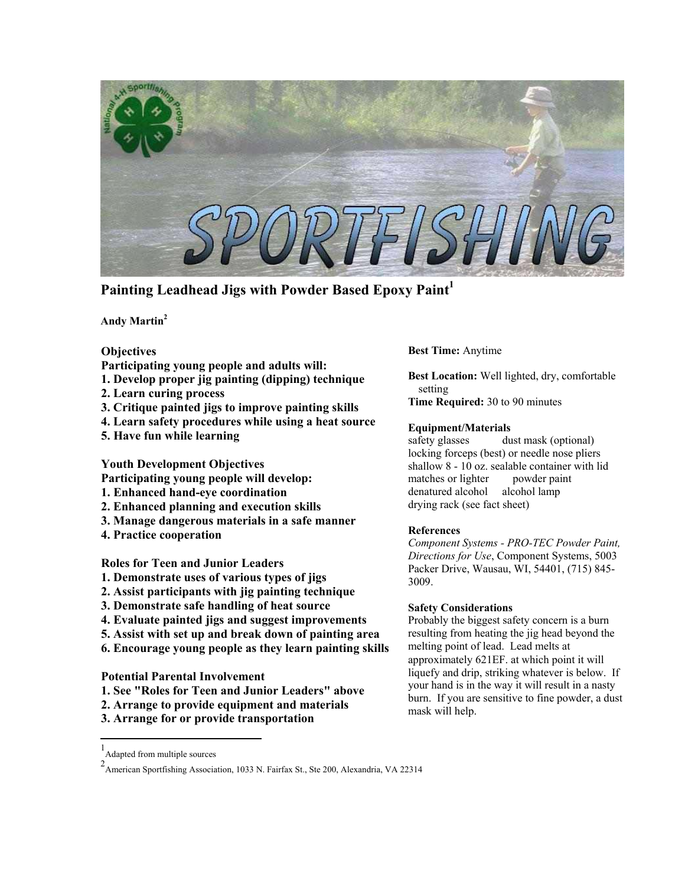

**Painting Leadhead Jigs with Powder Based Epoxy Paint[1](#page-0-0)**

**Andy Martin[2](#page-0-1)** 

# **Objectives**

- **Participating young people and adults will:**
- **1. Develop proper jig painting (dipping) technique**
- **2. Learn curing process**
- **3. Critique painted jigs to improve painting skills**
- **4. Learn safety procedures while using a heat source**
- **5. Have fun while learning**

**Youth Development Objectives** 

- **Participating young people will develop:**
- **1. Enhanced hand-eye coordination**
- **2. Enhanced planning and execution skills**
- **3. Manage dangerous materials in a safe manner**
- **4. Practice cooperation**

**Roles for Teen and Junior Leaders** 

- **1. Demonstrate uses of various types of jigs**
- **2. Assist participants with jig painting technique**
- **3. Demonstrate safe handling of heat source**
- **4. Evaluate painted jigs and suggest improvements**
- **5. Assist with set up and break down of painting area**
- **6. Encourage young people as they learn painting skills**

**Potential Parental Involvement** 

- **1. See "Roles for Teen and Junior Leaders" above**
- **2. Arrange to provide equipment and materials**
- **3. Arrange for or provide transportation**

# **Best Time:** Anytime

**Best Location:** Well lighted, dry, comfortable setting

**Time Required:** 30 to 90 minutes

## **Equipment/Materials**

safety glasses dust mask (optional) locking forceps (best) or needle nose pliers shallow 8 - 10 oz. sealable container with lid matches or lighter powder paint denatured alcohol alcohol lamp drying rack (see fact sheet)

### **References**

*Component Systems - PRO-TEC Powder Paint, Directions for Use*, Component Systems, 5003 Packer Drive, Wausau, WI, 54401, (715) 845- 3009.

### **Safety Considerations**

Probably the biggest safety concern is a burn resulting from heating the jig head beyond the melting point of lead. Lead melts at approximately 621ΕF. at which point it will liquefy and drip, striking whatever is below. If your hand is in the way it will result in a nasty burn. If you are sensitive to fine powder, a dust mask will help.

 $\overline{a}$ 

<span id="page-0-0"></span><sup>1</sup> Adapted from multiple sources

<span id="page-0-1"></span><sup>2</sup> American Sportfishing Association, 1033 N. Fairfax St., Ste 200, Alexandria, VA 22314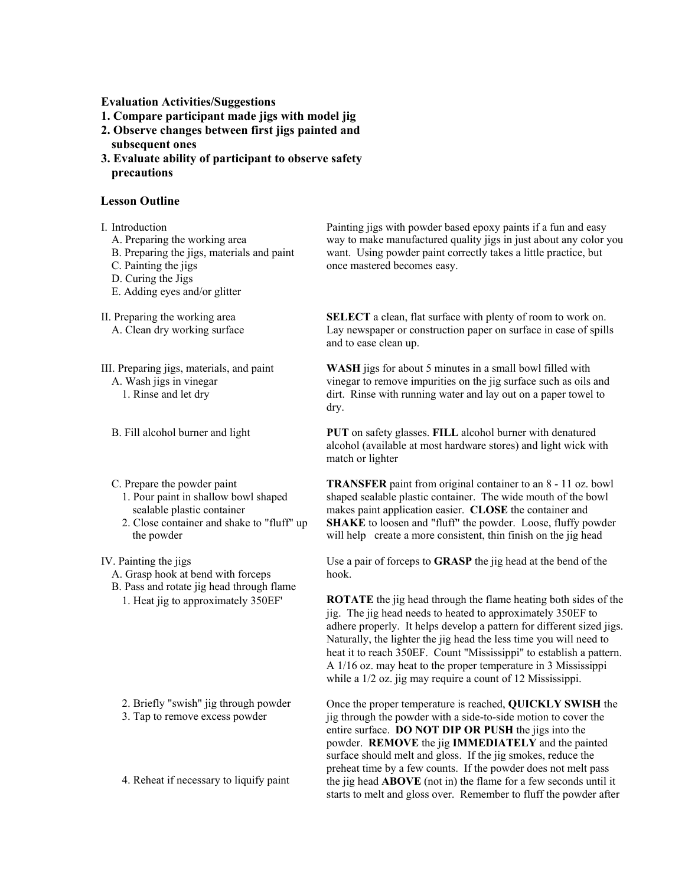**Evaluation Activities/Suggestions** 

- **1. Compare participant made jigs with model jig**
- **2. Observe changes between first jigs painted and**
- **subsequent ones**
- **3. Evaluate ability of participant to observe safety precautions**

#### **Lesson Outline**

I. Introduction

- A. Preparing the working area
- B. Preparing the jigs, materials and paint
- C. Painting the jigs
- D. Curing the Jigs
- E. Adding eyes and/or glitter

II. Preparing the working area

- A. Clean dry working surface
- III. Preparing jigs, materials, and paint

A. Wash jigs in vinegar

- 1. Rinse and let dry
- B. Fill alcohol burner and light
- C. Prepare the powder paint
	- 1. Pour paint in shallow bowl shaped sealable plastic container
	- 2. Close container and shake to "fluff" up the powder

IV. Painting the jigs

- A. Grasp hook at bend with forceps
- B. Pass and rotate jig head through flame 1. Heat jig to approximately 350ΕF'

- 2. Briefly "swish" jig through powder
- 3. Tap to remove excess powder

4. Reheat if necessary to liquify paint

Painting jigs with powder based epoxy paints if a fun and easy way to make manufactured quality jigs in just about any color you want. Using powder paint correctly takes a little practice, but once mastered becomes easy.

**SELECT** a clean, flat surface with plenty of room to work on. Lay newspaper or construction paper on surface in case of spills and to ease clean up.

**WASH** jigs for about 5 minutes in a small bowl filled with vinegar to remove impurities on the jig surface such as oils and dirt. Rinse with running water and lay out on a paper towel to dry.

**PUT** on safety glasses. **FILL** alcohol burner with denatured alcohol (available at most hardware stores) and light wick with match or lighter

**TRANSFER** paint from original container to an 8 - 11 oz. bowl shaped sealable plastic container. The wide mouth of the bowl makes paint application easier. **CLOSE** the container and **SHAKE** to loosen and "fluff" the powder. Loose, fluffy powder will help create a more consistent, thin finish on the jig head

Use a pair of forceps to **GRASP** the jig head at the bend of the hook.

**ROTATE** the jig head through the flame heating both sides of the jig. The jig head needs to heated to approximately 350ΕF to adhere properly. It helps develop a pattern for different sized jigs. Naturally, the lighter the jig head the less time you will need to heat it to reach 350ΕF. Count "Mississippi" to establish a pattern. A 1/16 oz. may heat to the proper temperature in 3 Mississippi while a  $1/2$  oz. jig may require a count of 12 Mississippi.

Once the proper temperature is reached, **QUICKLY SWISH** the jig through the powder with a side-to-side motion to cover the entire surface. **DO NOT DIP OR PUSH** the jigs into the powder. **REMOVE** the jig **IMMEDIATELY** and the painted surface should melt and gloss. If the jig smokes, reduce the preheat time by a few counts. If the powder does not melt pass the jig head **ABOVE** (not in) the flame for a few seconds until it starts to melt and gloss over. Remember to fluff the powder after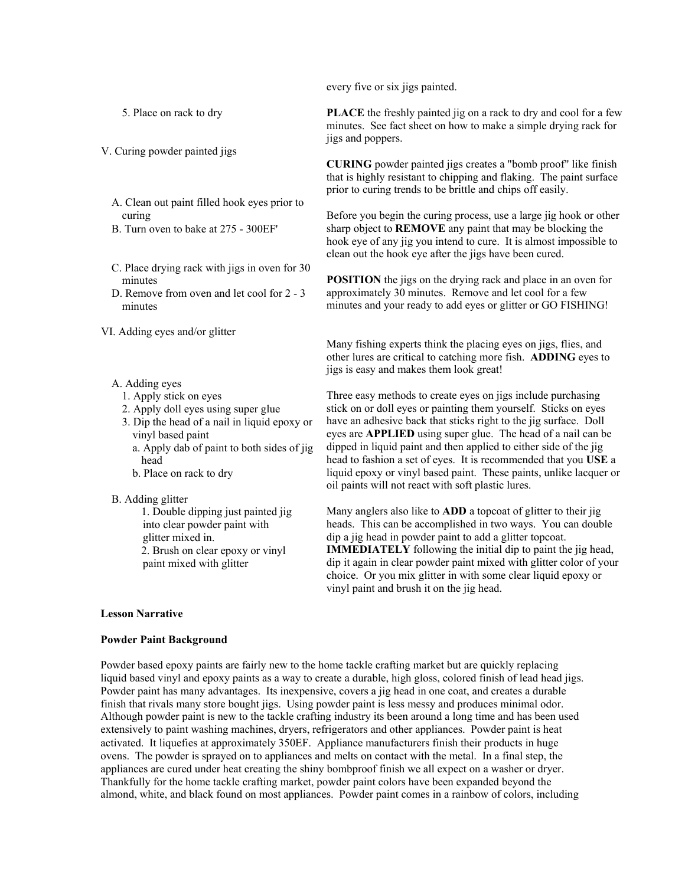every five or six jigs painted.

5. Place on rack to dry

- V. Curing powder painted jigs
	- A. Clean out paint filled hook eyes prior to curing
	- B. Turn oven to bake at 275 300EF'
	- C. Place drying rack with jigs in oven for 30 minutes
	- D. Remove from oven and let cool for 2 3 minutes

VI. Adding eyes and/or glitter

- A. Adding eyes
	- 1. Apply stick on eyes
	- 2. Apply doll eyes using super glue
	- 3. Dip the head of a nail in liquid epoxy or vinyl based paint
		- a. Apply dab of paint to both sides of jig head
		- b. Place on rack to dry
- B. Adding glitter
	- 1. Double dipping just painted jig into clear powder paint with glitter mixed in. 2. Brush on clear epoxy or vinyl paint mixed with glitter

#### **Lesson Narrative**

#### **Powder Paint Background**

**PLACE** the freshly painted jig on a rack to dry and cool for a few minutes. See fact sheet on how to make a simple drying rack for jigs and poppers.

**CURING** powder painted jigs creates a "bomb proof" like finish that is highly resistant to chipping and flaking. The paint surface prior to curing trends to be brittle and chips off easily.

Before you begin the curing process, use a large jig hook or other sharp object to **REMOVE** any paint that may be blocking the hook eye of any jig you intend to cure. It is almost impossible to clean out the hook eye after the jigs have been cured.

**POSITION** the jigs on the drying rack and place in an oven for approximately 30 minutes. Remove and let cool for a few minutes and your ready to add eyes or glitter or GO FISHING!

Many fishing experts think the placing eyes on jigs, flies, and other lures are critical to catching more fish. **ADDING** eyes to jigs is easy and makes them look great!

Three easy methods to create eyes on jigs include purchasing stick on or doll eyes or painting them yourself. Sticks on eyes have an adhesive back that sticks right to the jig surface. Doll eyes are **APPLIED** using super glue. The head of a nail can be dipped in liquid paint and then applied to either side of the jig head to fashion a set of eyes. It is recommended that you **USE** a liquid epoxy or vinyl based paint. These paints, unlike lacquer or oil paints will not react with soft plastic lures.

Many anglers also like to **ADD** a topcoat of glitter to their jig heads. This can be accomplished in two ways. You can double dip a jig head in powder paint to add a glitter topcoat. **IMMEDIATELY** following the initial dip to paint the jig head, dip it again in clear powder paint mixed with glitter color of your choice. Or you mix glitter in with some clear liquid epoxy or vinyl paint and brush it on the jig head.

Powder based epoxy paints are fairly new to the home tackle crafting market but are quickly replacing liquid based vinyl and epoxy paints as a way to create a durable, high gloss, colored finish of lead head jigs. Powder paint has many advantages. Its inexpensive, covers a jig head in one coat, and creates a durable finish that rivals many store bought jigs. Using powder paint is less messy and produces minimal odor. Although powder paint is new to the tackle crafting industry its been around a long time and has been used extensively to paint washing machines, dryers, refrigerators and other appliances. Powder paint is heat activated. It liquefies at approximately 350ΕF. Appliance manufacturers finish their products in huge ovens. The powder is sprayed on to appliances and melts on contact with the metal. In a final step, the appliances are cured under heat creating the shiny bombproof finish we all expect on a washer or dryer. Thankfully for the home tackle crafting market, powder paint colors have been expanded beyond the almond, white, and black found on most appliances. Powder paint comes in a rainbow of colors, including